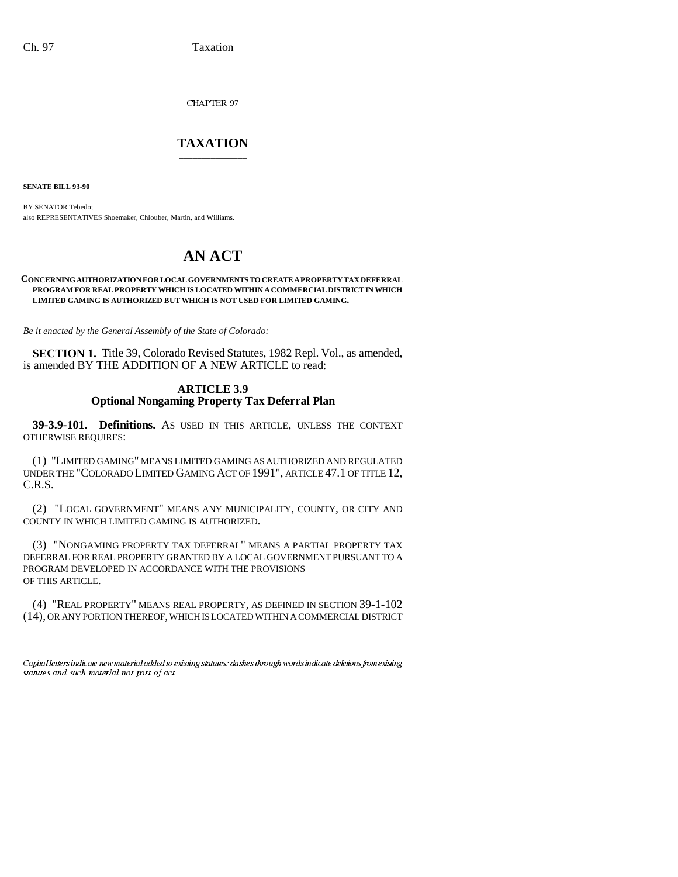CHAPTER 97

## \_\_\_\_\_\_\_\_\_\_\_\_\_\_\_ **TAXATION** \_\_\_\_\_\_\_\_\_\_\_\_\_\_\_

**SENATE BILL 93-90**

BY SENATOR Tebedo; also REPRESENTATIVES Shoemaker, Chlouber, Martin, and Williams.

# **AN ACT**

#### **CONCERNING AUTHORIZATION FOR LOCAL GOVERNMENTS TO CREATE A PROPERTY TAX DEFERRAL PROGRAM FOR REAL PROPERTY WHICH IS LOCATED WITHIN A COMMERCIAL DISTRICT IN WHICH LIMITED GAMING IS AUTHORIZED BUT WHICH IS NOT USED FOR LIMITED GAMING.**

*Be it enacted by the General Assembly of the State of Colorado:*

**SECTION 1.** Title 39, Colorado Revised Statutes, 1982 Repl. Vol., as amended, is amended BY THE ADDITION OF A NEW ARTICLE to read:

## **ARTICLE 3.9 Optional Nongaming Property Tax Deferral Plan**

**39-3.9-101. Definitions.** AS USED IN THIS ARTICLE, UNLESS THE CONTEXT OTHERWISE REQUIRES:

(1) "LIMITED GAMING" MEANS LIMITED GAMING AS AUTHORIZED AND REGULATED UNDER THE "COLORADO LIMITED GAMING ACT OF 1991", ARTICLE 47.1 OF TITLE 12, C.R.S.

(2) "LOCAL GOVERNMENT" MEANS ANY MUNICIPALITY, COUNTY, OR CITY AND COUNTY IN WHICH LIMITED GAMING IS AUTHORIZED.

PROGRAM DEVELOPED IN ACCORDANCE WITH THE PROVISIONS (3) "NONGAMING PROPERTY TAX DEFERRAL" MEANS A PARTIAL PROPERTY TAX DEFERRAL FOR REAL PROPERTY GRANTED BY A LOCAL GOVERNMENT PURSUANT TO A OF THIS ARTICLE.

(4) "REAL PROPERTY" MEANS REAL PROPERTY, AS DEFINED IN SECTION 39-1-102 (14), OR ANY PORTION THEREOF, WHICH IS LOCATED WITHIN A COMMERCIAL DISTRICT

Capital letters indicate new material added to existing statutes; dashes through words indicate deletions from existing statutes and such material not part of act.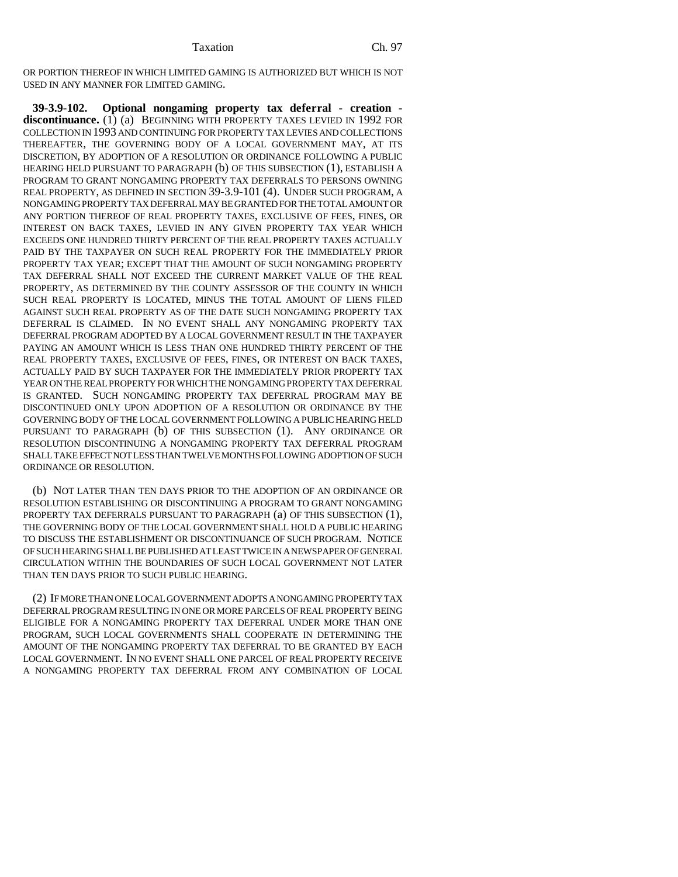OR PORTION THEREOF IN WHICH LIMITED GAMING IS AUTHORIZED BUT WHICH IS NOT USED IN ANY MANNER FOR LIMITED GAMING.

**39-3.9-102. Optional nongaming property tax deferral - creation discontinuance.** (1) (a) BEGINNING WITH PROPERTY TAXES LEVIED IN 1992 FOR COLLECTION IN 1993 AND CONTINUING FOR PROPERTY TAX LEVIES AND COLLECTIONS THEREAFTER, THE GOVERNING BODY OF A LOCAL GOVERNMENT MAY, AT ITS DISCRETION, BY ADOPTION OF A RESOLUTION OR ORDINANCE FOLLOWING A PUBLIC HEARING HELD PURSUANT TO PARAGRAPH (b) OF THIS SUBSECTION (1), ESTABLISH A PROGRAM TO GRANT NONGAMING PROPERTY TAX DEFERRALS TO PERSONS OWNING REAL PROPERTY, AS DEFINED IN SECTION 39-3.9-101 (4). UNDER SUCH PROGRAM, A NONGAMING PROPERTY TAX DEFERRAL MAY BE GRANTED FOR THE TOTAL AMOUNT OR ANY PORTION THEREOF OF REAL PROPERTY TAXES, EXCLUSIVE OF FEES, FINES, OR INTEREST ON BACK TAXES, LEVIED IN ANY GIVEN PROPERTY TAX YEAR WHICH EXCEEDS ONE HUNDRED THIRTY PERCENT OF THE REAL PROPERTY TAXES ACTUALLY PAID BY THE TAXPAYER ON SUCH REAL PROPERTY FOR THE IMMEDIATELY PRIOR PROPERTY TAX YEAR; EXCEPT THAT THE AMOUNT OF SUCH NONGAMING PROPERTY TAX DEFERRAL SHALL NOT EXCEED THE CURRENT MARKET VALUE OF THE REAL PROPERTY, AS DETERMINED BY THE COUNTY ASSESSOR OF THE COUNTY IN WHICH SUCH REAL PROPERTY IS LOCATED, MINUS THE TOTAL AMOUNT OF LIENS FILED AGAINST SUCH REAL PROPERTY AS OF THE DATE SUCH NONGAMING PROPERTY TAX DEFERRAL IS CLAIMED. IN NO EVENT SHALL ANY NONGAMING PROPERTY TAX DEFERRAL PROGRAM ADOPTED BY A LOCAL GOVERNMENT RESULT IN THE TAXPAYER PAYING AN AMOUNT WHICH IS LESS THAN ONE HUNDRED THIRTY PERCENT OF THE REAL PROPERTY TAXES, EXCLUSIVE OF FEES, FINES, OR INTEREST ON BACK TAXES, ACTUALLY PAID BY SUCH TAXPAYER FOR THE IMMEDIATELY PRIOR PROPERTY TAX YEAR ON THE REAL PROPERTY FOR WHICH THE NONGAMING PROPERTY TAX DEFERRAL IS GRANTED. SUCH NONGAMING PROPERTY TAX DEFERRAL PROGRAM MAY BE DISCONTINUED ONLY UPON ADOPTION OF A RESOLUTION OR ORDINANCE BY THE GOVERNING BODY OF THE LOCAL GOVERNMENT FOLLOWING A PUBLIC HEARING HELD PURSUANT TO PARAGRAPH (b) OF THIS SUBSECTION (1). ANY ORDINANCE OR RESOLUTION DISCONTINUING A NONGAMING PROPERTY TAX DEFERRAL PROGRAM SHALL TAKE EFFECT NOT LESS THAN TWELVE MONTHS FOLLOWING ADOPTION OF SUCH ORDINANCE OR RESOLUTION.

(b) NOT LATER THAN TEN DAYS PRIOR TO THE ADOPTION OF AN ORDINANCE OR RESOLUTION ESTABLISHING OR DISCONTINUING A PROGRAM TO GRANT NONGAMING PROPERTY TAX DEFERRALS PURSUANT TO PARAGRAPH (a) OF THIS SUBSECTION (1), THE GOVERNING BODY OF THE LOCAL GOVERNMENT SHALL HOLD A PUBLIC HEARING TO DISCUSS THE ESTABLISHMENT OR DISCONTINUANCE OF SUCH PROGRAM. NOTICE OF SUCH HEARING SHALL BE PUBLISHED AT LEAST TWICE IN A NEWSPAPER OF GENERAL CIRCULATION WITHIN THE BOUNDARIES OF SUCH LOCAL GOVERNMENT NOT LATER THAN TEN DAYS PRIOR TO SUCH PUBLIC HEARING.

(2) IF MORE THAN ONE LOCAL GOVERNMENT ADOPTS A NONGAMING PROPERTY TAX DEFERRAL PROGRAM RESULTING IN ONE OR MORE PARCELS OF REAL PROPERTY BEING ELIGIBLE FOR A NONGAMING PROPERTY TAX DEFERRAL UNDER MORE THAN ONE PROGRAM, SUCH LOCAL GOVERNMENTS SHALL COOPERATE IN DETERMINING THE AMOUNT OF THE NONGAMING PROPERTY TAX DEFERRAL TO BE GRANTED BY EACH LOCAL GOVERNMENT. IN NO EVENT SHALL ONE PARCEL OF REAL PROPERTY RECEIVE A NONGAMING PROPERTY TAX DEFERRAL FROM ANY COMBINATION OF LOCAL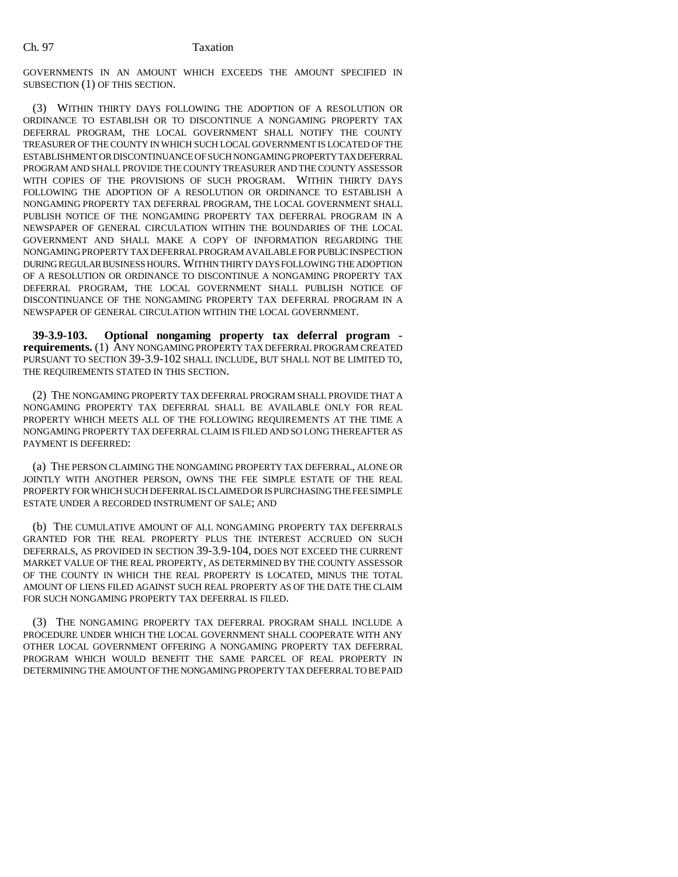GOVERNMENTS IN AN AMOUNT WHICH EXCEEDS THE AMOUNT SPECIFIED IN SUBSECTION (1) OF THIS SECTION.

(3) WITHIN THIRTY DAYS FOLLOWING THE ADOPTION OF A RESOLUTION OR ORDINANCE TO ESTABLISH OR TO DISCONTINUE A NONGAMING PROPERTY TAX DEFERRAL PROGRAM, THE LOCAL GOVERNMENT SHALL NOTIFY THE COUNTY TREASURER OF THE COUNTY IN WHICH SUCH LOCAL GOVERNMENT IS LOCATED OF THE ESTABLISHMENT OR DISCONTINUANCE OF SUCH NONGAMING PROPERTY TAX DEFERRAL PROGRAM AND SHALL PROVIDE THE COUNTY TREASURER AND THE COUNTY ASSESSOR WITH COPIES OF THE PROVISIONS OF SUCH PROGRAM. WITHIN THIRTY DAYS FOLLOWING THE ADOPTION OF A RESOLUTION OR ORDINANCE TO ESTABLISH A NONGAMING PROPERTY TAX DEFERRAL PROGRAM, THE LOCAL GOVERNMENT SHALL PUBLISH NOTICE OF THE NONGAMING PROPERTY TAX DEFERRAL PROGRAM IN A NEWSPAPER OF GENERAL CIRCULATION WITHIN THE BOUNDARIES OF THE LOCAL GOVERNMENT AND SHALL MAKE A COPY OF INFORMATION REGARDING THE NONGAMING PROPERTY TAX DEFERRAL PROGRAM AVAILABLE FOR PUBLIC INSPECTION DURING REGULAR BUSINESS HOURS. WITHIN THIRTY DAYS FOLLOWING THE ADOPTION OF A RESOLUTION OR ORDINANCE TO DISCONTINUE A NONGAMING PROPERTY TAX DEFERRAL PROGRAM, THE LOCAL GOVERNMENT SHALL PUBLISH NOTICE OF DISCONTINUANCE OF THE NONGAMING PROPERTY TAX DEFERRAL PROGRAM IN A NEWSPAPER OF GENERAL CIRCULATION WITHIN THE LOCAL GOVERNMENT.

**39-3.9-103. Optional nongaming property tax deferral program requirements.** (1) ANY NONGAMING PROPERTY TAX DEFERRAL PROGRAM CREATED PURSUANT TO SECTION 39-3.9-102 SHALL INCLUDE, BUT SHALL NOT BE LIMITED TO, THE REQUIREMENTS STATED IN THIS SECTION.

(2) THE NONGAMING PROPERTY TAX DEFERRAL PROGRAM SHALL PROVIDE THAT A NONGAMING PROPERTY TAX DEFERRAL SHALL BE AVAILABLE ONLY FOR REAL PROPERTY WHICH MEETS ALL OF THE FOLLOWING REQUIREMENTS AT THE TIME A NONGAMING PROPERTY TAX DEFERRAL CLAIM IS FILED AND SO LONG THEREAFTER AS PAYMENT IS DEFERRED:

(a) THE PERSON CLAIMING THE NONGAMING PROPERTY TAX DEFERRAL, ALONE OR JOINTLY WITH ANOTHER PERSON, OWNS THE FEE SIMPLE ESTATE OF THE REAL PROPERTY FOR WHICH SUCH DEFERRAL IS CLAIMED OR IS PURCHASING THE FEE SIMPLE ESTATE UNDER A RECORDED INSTRUMENT OF SALE; AND

(b) THE CUMULATIVE AMOUNT OF ALL NONGAMING PROPERTY TAX DEFERRALS GRANTED FOR THE REAL PROPERTY PLUS THE INTEREST ACCRUED ON SUCH DEFERRALS, AS PROVIDED IN SECTION 39-3.9-104, DOES NOT EXCEED THE CURRENT MARKET VALUE OF THE REAL PROPERTY, AS DETERMINED BY THE COUNTY ASSESSOR OF THE COUNTY IN WHICH THE REAL PROPERTY IS LOCATED, MINUS THE TOTAL AMOUNT OF LIENS FILED AGAINST SUCH REAL PROPERTY AS OF THE DATE THE CLAIM FOR SUCH NONGAMING PROPERTY TAX DEFERRAL IS FILED.

(3) THE NONGAMING PROPERTY TAX DEFERRAL PROGRAM SHALL INCLUDE A PROCEDURE UNDER WHICH THE LOCAL GOVERNMENT SHALL COOPERATE WITH ANY OTHER LOCAL GOVERNMENT OFFERING A NONGAMING PROPERTY TAX DEFERRAL PROGRAM WHICH WOULD BENEFIT THE SAME PARCEL OF REAL PROPERTY IN DETERMINING THE AMOUNT OF THE NONGAMING PROPERTY TAX DEFERRAL TO BE PAID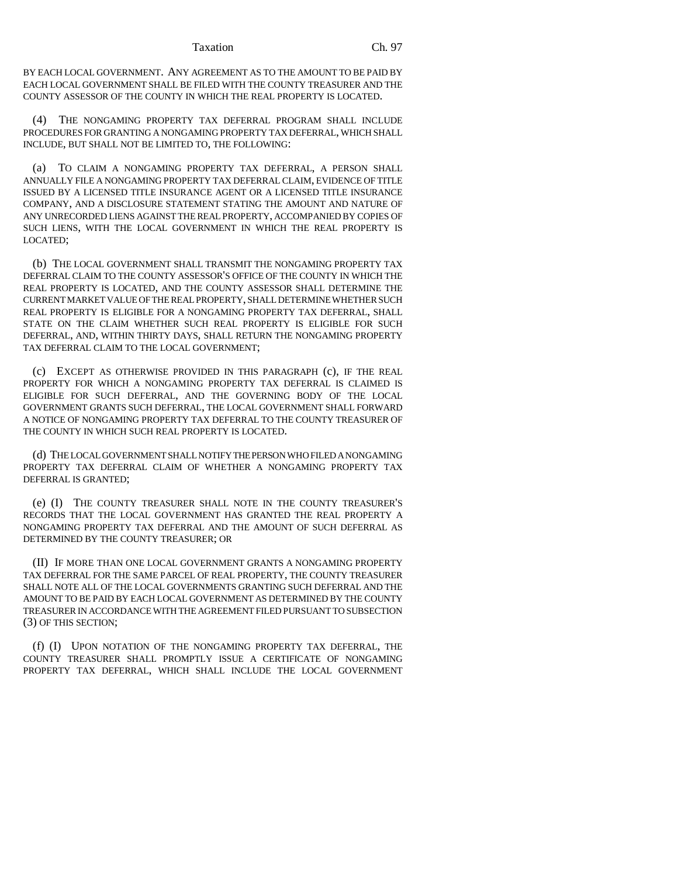#### Taxation Ch. 97

BY EACH LOCAL GOVERNMENT. ANY AGREEMENT AS TO THE AMOUNT TO BE PAID BY EACH LOCAL GOVERNMENT SHALL BE FILED WITH THE COUNTY TREASURER AND THE COUNTY ASSESSOR OF THE COUNTY IN WHICH THE REAL PROPERTY IS LOCATED.

(4) THE NONGAMING PROPERTY TAX DEFERRAL PROGRAM SHALL INCLUDE PROCEDURES FOR GRANTING A NONGAMING PROPERTY TAX DEFERRAL, WHICH SHALL INCLUDE, BUT SHALL NOT BE LIMITED TO, THE FOLLOWING:

(a) TO CLAIM A NONGAMING PROPERTY TAX DEFERRAL, A PERSON SHALL ANNUALLY FILE A NONGAMING PROPERTY TAX DEFERRAL CLAIM, EVIDENCE OF TITLE ISSUED BY A LICENSED TITLE INSURANCE AGENT OR A LICENSED TITLE INSURANCE COMPANY, AND A DISCLOSURE STATEMENT STATING THE AMOUNT AND NATURE OF ANY UNRECORDED LIENS AGAINST THE REAL PROPERTY, ACCOMPANIED BY COPIES OF SUCH LIENS, WITH THE LOCAL GOVERNMENT IN WHICH THE REAL PROPERTY IS LOCATED;

(b) THE LOCAL GOVERNMENT SHALL TRANSMIT THE NONGAMING PROPERTY TAX DEFERRAL CLAIM TO THE COUNTY ASSESSOR'S OFFICE OF THE COUNTY IN WHICH THE REAL PROPERTY IS LOCATED, AND THE COUNTY ASSESSOR SHALL DETERMINE THE CURRENT MARKET VALUE OF THE REAL PROPERTY, SHALL DETERMINE WHETHER SUCH REAL PROPERTY IS ELIGIBLE FOR A NONGAMING PROPERTY TAX DEFERRAL, SHALL STATE ON THE CLAIM WHETHER SUCH REAL PROPERTY IS ELIGIBLE FOR SUCH DEFERRAL, AND, WITHIN THIRTY DAYS, SHALL RETURN THE NONGAMING PROPERTY TAX DEFERRAL CLAIM TO THE LOCAL GOVERNMENT;

(c) EXCEPT AS OTHERWISE PROVIDED IN THIS PARAGRAPH (c), IF THE REAL PROPERTY FOR WHICH A NONGAMING PROPERTY TAX DEFERRAL IS CLAIMED IS ELIGIBLE FOR SUCH DEFERRAL, AND THE GOVERNING BODY OF THE LOCAL GOVERNMENT GRANTS SUCH DEFERRAL, THE LOCAL GOVERNMENT SHALL FORWARD A NOTICE OF NONGAMING PROPERTY TAX DEFERRAL TO THE COUNTY TREASURER OF THE COUNTY IN WHICH SUCH REAL PROPERTY IS LOCATED.

(d) THE LOCAL GOVERNMENT SHALL NOTIFY THE PERSON WHO FILED A NONGAMING PROPERTY TAX DEFERRAL CLAIM OF WHETHER A NONGAMING PROPERTY TAX DEFERRAL IS GRANTED;

(e) (I) THE COUNTY TREASURER SHALL NOTE IN THE COUNTY TREASURER'S RECORDS THAT THE LOCAL GOVERNMENT HAS GRANTED THE REAL PROPERTY A NONGAMING PROPERTY TAX DEFERRAL AND THE AMOUNT OF SUCH DEFERRAL AS DETERMINED BY THE COUNTY TREASURER; OR

(II) IF MORE THAN ONE LOCAL GOVERNMENT GRANTS A NONGAMING PROPERTY TAX DEFERRAL FOR THE SAME PARCEL OF REAL PROPERTY, THE COUNTY TREASURER SHALL NOTE ALL OF THE LOCAL GOVERNMENTS GRANTING SUCH DEFERRAL AND THE AMOUNT TO BE PAID BY EACH LOCAL GOVERNMENT AS DETERMINED BY THE COUNTY TREASURER IN ACCORDANCE WITH THE AGREEMENT FILED PURSUANT TO SUBSECTION (3) OF THIS SECTION;

(f) (I) UPON NOTATION OF THE NONGAMING PROPERTY TAX DEFERRAL, THE COUNTY TREASURER SHALL PROMPTLY ISSUE A CERTIFICATE OF NONGAMING PROPERTY TAX DEFERRAL, WHICH SHALL INCLUDE THE LOCAL GOVERNMENT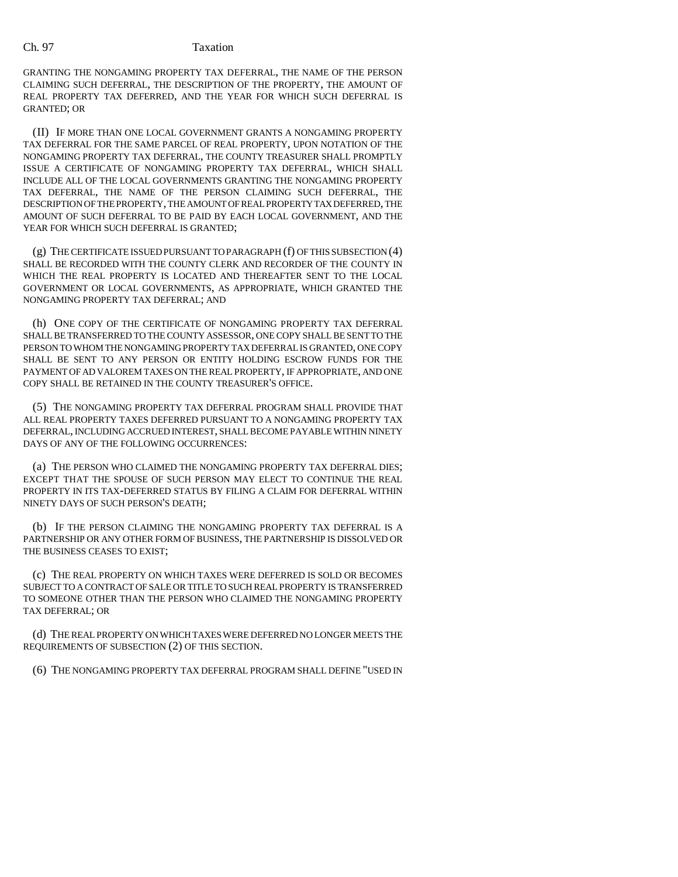## Ch. 97 Taxation

GRANTING THE NONGAMING PROPERTY TAX DEFERRAL, THE NAME OF THE PERSON CLAIMING SUCH DEFERRAL, THE DESCRIPTION OF THE PROPERTY, THE AMOUNT OF REAL PROPERTY TAX DEFERRED, AND THE YEAR FOR WHICH SUCH DEFERRAL IS GRANTED; OR

(II) IF MORE THAN ONE LOCAL GOVERNMENT GRANTS A NONGAMING PROPERTY TAX DEFERRAL FOR THE SAME PARCEL OF REAL PROPERTY, UPON NOTATION OF THE NONGAMING PROPERTY TAX DEFERRAL, THE COUNTY TREASURER SHALL PROMPTLY ISSUE A CERTIFICATE OF NONGAMING PROPERTY TAX DEFERRAL, WHICH SHALL INCLUDE ALL OF THE LOCAL GOVERNMENTS GRANTING THE NONGAMING PROPERTY TAX DEFERRAL, THE NAME OF THE PERSON CLAIMING SUCH DEFERRAL, THE DESCRIPTION OF THE PROPERTY, THE AMOUNT OF REAL PROPERTY TAX DEFERRED, THE AMOUNT OF SUCH DEFERRAL TO BE PAID BY EACH LOCAL GOVERNMENT, AND THE YEAR FOR WHICH SUCH DEFERRAL IS GRANTED;

(g) THE CERTIFICATE ISSUED PURSUANT TO PARAGRAPH (f) OF THIS SUBSECTION (4) SHALL BE RECORDED WITH THE COUNTY CLERK AND RECORDER OF THE COUNTY IN WHICH THE REAL PROPERTY IS LOCATED AND THEREAFTER SENT TO THE LOCAL GOVERNMENT OR LOCAL GOVERNMENTS, AS APPROPRIATE, WHICH GRANTED THE NONGAMING PROPERTY TAX DEFERRAL; AND

(h) ONE COPY OF THE CERTIFICATE OF NONGAMING PROPERTY TAX DEFERRAL SHALL BE TRANSFERRED TO THE COUNTY ASSESSOR, ONE COPY SHALL BE SENT TO THE PERSON TO WHOM THE NONGAMING PROPERTY TAX DEFERRAL IS GRANTED, ONE COPY SHALL BE SENT TO ANY PERSON OR ENTITY HOLDING ESCROW FUNDS FOR THE PAYMENT OF AD VALOREM TAXES ON THE REAL PROPERTY, IF APPROPRIATE, AND ONE COPY SHALL BE RETAINED IN THE COUNTY TREASURER'S OFFICE.

(5) THE NONGAMING PROPERTY TAX DEFERRAL PROGRAM SHALL PROVIDE THAT ALL REAL PROPERTY TAXES DEFERRED PURSUANT TO A NONGAMING PROPERTY TAX DEFERRAL, INCLUDING ACCRUED INTEREST, SHALL BECOME PAYABLE WITHIN NINETY DAYS OF ANY OF THE FOLLOWING OCCURRENCES:

(a) THE PERSON WHO CLAIMED THE NONGAMING PROPERTY TAX DEFERRAL DIES; EXCEPT THAT THE SPOUSE OF SUCH PERSON MAY ELECT TO CONTINUE THE REAL PROPERTY IN ITS TAX-DEFERRED STATUS BY FILING A CLAIM FOR DEFERRAL WITHIN NINETY DAYS OF SUCH PERSON'S DEATH;

(b) IF THE PERSON CLAIMING THE NONGAMING PROPERTY TAX DEFERRAL IS A PARTNERSHIP OR ANY OTHER FORM OF BUSINESS, THE PARTNERSHIP IS DISSOLVED OR THE BUSINESS CEASES TO EXIST;

(c) THE REAL PROPERTY ON WHICH TAXES WERE DEFERRED IS SOLD OR BECOMES SUBJECT TO A CONTRACT OF SALE OR TITLE TO SUCH REAL PROPERTY IS TRANSFERRED TO SOMEONE OTHER THAN THE PERSON WHO CLAIMED THE NONGAMING PROPERTY TAX DEFERRAL; OR

(d) THE REAL PROPERTY ON WHICH TAXES WERE DEFERRED NO LONGER MEETS THE REQUIREMENTS OF SUBSECTION (2) OF THIS SECTION.

(6) THE NONGAMING PROPERTY TAX DEFERRAL PROGRAM SHALL DEFINE "USED IN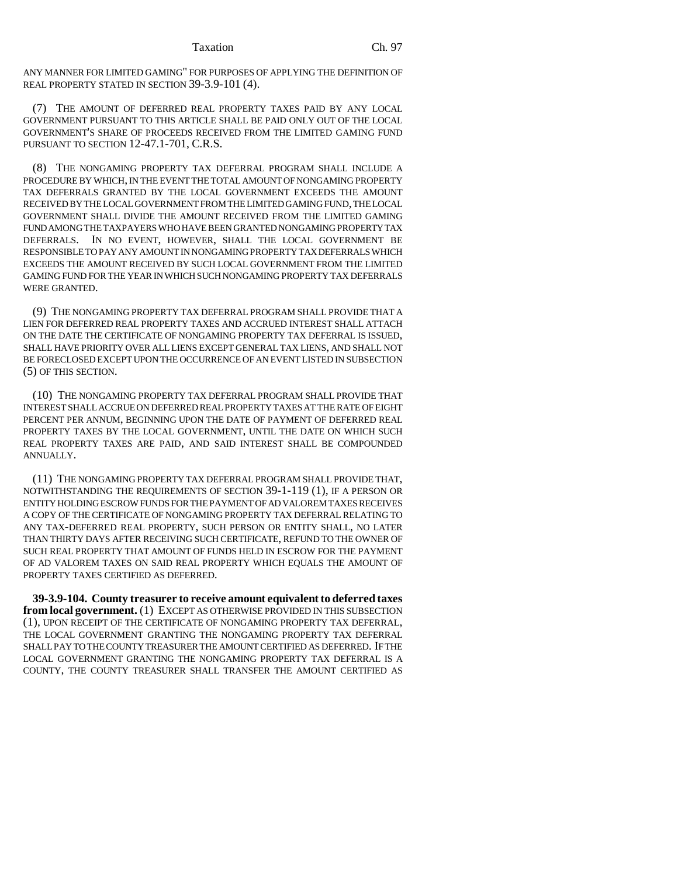ANY MANNER FOR LIMITED GAMING" FOR PURPOSES OF APPLYING THE DEFINITION OF REAL PROPERTY STATED IN SECTION 39-3.9-101 (4).

(7) THE AMOUNT OF DEFERRED REAL PROPERTY TAXES PAID BY ANY LOCAL GOVERNMENT PURSUANT TO THIS ARTICLE SHALL BE PAID ONLY OUT OF THE LOCAL GOVERNMENT'S SHARE OF PROCEEDS RECEIVED FROM THE LIMITED GAMING FUND PURSUANT TO SECTION 12-47.1-701, C.R.S.

(8) THE NONGAMING PROPERTY TAX DEFERRAL PROGRAM SHALL INCLUDE A PROCEDURE BY WHICH, IN THE EVENT THE TOTAL AMOUNT OF NONGAMING PROPERTY TAX DEFERRALS GRANTED BY THE LOCAL GOVERNMENT EXCEEDS THE AMOUNT RECEIVED BY THE LOCAL GOVERNMENT FROM THE LIMITED GAMING FUND, THE LOCAL GOVERNMENT SHALL DIVIDE THE AMOUNT RECEIVED FROM THE LIMITED GAMING FUND AMONG THE TAXPAYERS WHO HAVE BEEN GRANTED NONGAMING PROPERTY TAX DEFERRALS. IN NO EVENT, HOWEVER, SHALL THE LOCAL GOVERNMENT BE RESPONSIBLE TO PAY ANY AMOUNT IN NONGAMING PROPERTY TAX DEFERRALS WHICH EXCEEDS THE AMOUNT RECEIVED BY SUCH LOCAL GOVERNMENT FROM THE LIMITED GAMING FUND FOR THE YEAR IN WHICH SUCH NONGAMING PROPERTY TAX DEFERRALS WERE GRANTED.

(9) THE NONGAMING PROPERTY TAX DEFERRAL PROGRAM SHALL PROVIDE THAT A LIEN FOR DEFERRED REAL PROPERTY TAXES AND ACCRUED INTEREST SHALL ATTACH ON THE DATE THE CERTIFICATE OF NONGAMING PROPERTY TAX DEFERRAL IS ISSUED, SHALL HAVE PRIORITY OVER ALL LIENS EXCEPT GENERAL TAX LIENS, AND SHALL NOT BE FORECLOSED EXCEPT UPON THE OCCURRENCE OF AN EVENT LISTED IN SUBSECTION (5) OF THIS SECTION.

(10) THE NONGAMING PROPERTY TAX DEFERRAL PROGRAM SHALL PROVIDE THAT INTEREST SHALL ACCRUE ON DEFERRED REAL PROPERTY TAXES AT THE RATE OF EIGHT PERCENT PER ANNUM, BEGINNING UPON THE DATE OF PAYMENT OF DEFERRED REAL PROPERTY TAXES BY THE LOCAL GOVERNMENT, UNTIL THE DATE ON WHICH SUCH REAL PROPERTY TAXES ARE PAID, AND SAID INTEREST SHALL BE COMPOUNDED ANNUALLY.

(11) THE NONGAMING PROPERTY TAX DEFERRAL PROGRAM SHALL PROVIDE THAT, NOTWITHSTANDING THE REQUIREMENTS OF SECTION 39-1-119 (1), IF A PERSON OR ENTITY HOLDING ESCROW FUNDS FOR THE PAYMENT OF AD VALOREM TAXES RECEIVES A COPY OF THE CERTIFICATE OF NONGAMING PROPERTY TAX DEFERRAL RELATING TO ANY TAX-DEFERRED REAL PROPERTY, SUCH PERSON OR ENTITY SHALL, NO LATER THAN THIRTY DAYS AFTER RECEIVING SUCH CERTIFICATE, REFUND TO THE OWNER OF SUCH REAL PROPERTY THAT AMOUNT OF FUNDS HELD IN ESCROW FOR THE PAYMENT OF AD VALOREM TAXES ON SAID REAL PROPERTY WHICH EQUALS THE AMOUNT OF PROPERTY TAXES CERTIFIED AS DEFERRED.

**39-3.9-104. County treasurer to receive amount equivalent to deferred taxes from local government.** (1) EXCEPT AS OTHERWISE PROVIDED IN THIS SUBSECTION (1), UPON RECEIPT OF THE CERTIFICATE OF NONGAMING PROPERTY TAX DEFERRAL, THE LOCAL GOVERNMENT GRANTING THE NONGAMING PROPERTY TAX DEFERRAL SHALL PAY TO THE COUNTY TREASURER THE AMOUNT CERTIFIED AS DEFERRED. IF THE LOCAL GOVERNMENT GRANTING THE NONGAMING PROPERTY TAX DEFERRAL IS A COUNTY, THE COUNTY TREASURER SHALL TRANSFER THE AMOUNT CERTIFIED AS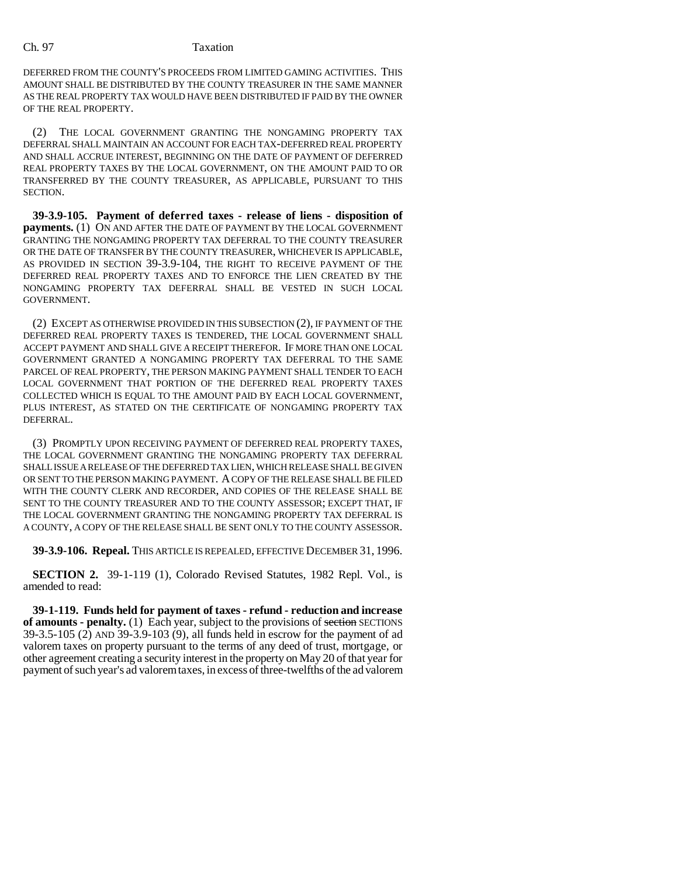## Ch. 97 Taxation

DEFERRED FROM THE COUNTY'S PROCEEDS FROM LIMITED GAMING ACTIVITIES. THIS AMOUNT SHALL BE DISTRIBUTED BY THE COUNTY TREASURER IN THE SAME MANNER AS THE REAL PROPERTY TAX WOULD HAVE BEEN DISTRIBUTED IF PAID BY THE OWNER OF THE REAL PROPERTY.

(2) THE LOCAL GOVERNMENT GRANTING THE NONGAMING PROPERTY TAX DEFERRAL SHALL MAINTAIN AN ACCOUNT FOR EACH TAX-DEFERRED REAL PROPERTY AND SHALL ACCRUE INTEREST, BEGINNING ON THE DATE OF PAYMENT OF DEFERRED REAL PROPERTY TAXES BY THE LOCAL GOVERNMENT, ON THE AMOUNT PAID TO OR TRANSFERRED BY THE COUNTY TREASURER, AS APPLICABLE, PURSUANT TO THIS SECTION.

**39-3.9-105. Payment of deferred taxes - release of liens - disposition of payments.** (1) ON AND AFTER THE DATE OF PAYMENT BY THE LOCAL GOVERNMENT GRANTING THE NONGAMING PROPERTY TAX DEFERRAL TO THE COUNTY TREASURER OR THE DATE OF TRANSFER BY THE COUNTY TREASURER, WHICHEVER IS APPLICABLE, AS PROVIDED IN SECTION 39-3.9-104, THE RIGHT TO RECEIVE PAYMENT OF THE DEFERRED REAL PROPERTY TAXES AND TO ENFORCE THE LIEN CREATED BY THE NONGAMING PROPERTY TAX DEFERRAL SHALL BE VESTED IN SUCH LOCAL GOVERNMENT.

(2) EXCEPT AS OTHERWISE PROVIDED IN THIS SUBSECTION (2), IF PAYMENT OF THE DEFERRED REAL PROPERTY TAXES IS TENDERED, THE LOCAL GOVERNMENT SHALL ACCEPT PAYMENT AND SHALL GIVE A RECEIPT THEREFOR. IF MORE THAN ONE LOCAL GOVERNMENT GRANTED A NONGAMING PROPERTY TAX DEFERRAL TO THE SAME PARCEL OF REAL PROPERTY, THE PERSON MAKING PAYMENT SHALL TENDER TO EACH LOCAL GOVERNMENT THAT PORTION OF THE DEFERRED REAL PROPERTY TAXES COLLECTED WHICH IS EQUAL TO THE AMOUNT PAID BY EACH LOCAL GOVERNMENT, PLUS INTEREST, AS STATED ON THE CERTIFICATE OF NONGAMING PROPERTY TAX DEFERRAL.

(3) PROMPTLY UPON RECEIVING PAYMENT OF DEFERRED REAL PROPERTY TAXES, THE LOCAL GOVERNMENT GRANTING THE NONGAMING PROPERTY TAX DEFERRAL SHALL ISSUE A RELEASE OF THE DEFERRED TAX LIEN, WHICH RELEASE SHALL BE GIVEN OR SENT TO THE PERSON MAKING PAYMENT. A COPY OF THE RELEASE SHALL BE FILED WITH THE COUNTY CLERK AND RECORDER, AND COPIES OF THE RELEASE SHALL BE SENT TO THE COUNTY TREASURER AND TO THE COUNTY ASSESSOR; EXCEPT THAT, IF THE LOCAL GOVERNMENT GRANTING THE NONGAMING PROPERTY TAX DEFERRAL IS A COUNTY, A COPY OF THE RELEASE SHALL BE SENT ONLY TO THE COUNTY ASSESSOR.

**39-3.9-106. Repeal.** THIS ARTICLE IS REPEALED, EFFECTIVE DECEMBER 31, 1996.

**SECTION 2.** 39-1-119 (1), Colorado Revised Statutes, 1982 Repl. Vol., is amended to read:

**39-1-119. Funds held for payment of taxes - refund - reduction and increase of amounts - penalty.** (1) Each year, subject to the provisions of section SECTIONS 39-3.5-105 (2) AND 39-3.9-103 (9), all funds held in escrow for the payment of ad valorem taxes on property pursuant to the terms of any deed of trust, mortgage, or other agreement creating a security interest in the property on May 20 of that year for payment of such year's ad valorem taxes, in excess of three-twelfths of the ad valorem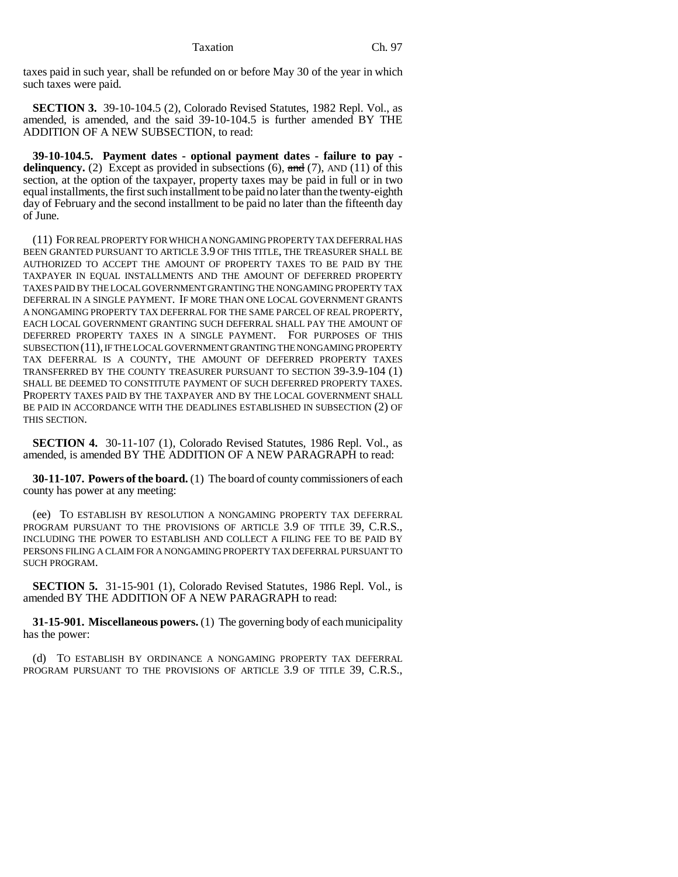taxes paid in such year, shall be refunded on or before May 30 of the year in which such taxes were paid.

**SECTION 3.** 39-10-104.5 (2), Colorado Revised Statutes, 1982 Repl. Vol., as amended, is amended, and the said 39-10-104.5 is further amended BY THE ADDITION OF A NEW SUBSECTION, to read:

**39-10-104.5. Payment dates - optional payment dates - failure to pay delinquency.** (2) Except as provided in subsections (6),  $\frac{1}{2}$  (7), AND (11) of this section, at the option of the taxpayer, property taxes may be paid in full or in two equal installments, the first such installment to be paid no later than the twenty-eighth day of February and the second installment to be paid no later than the fifteenth day of June.

(11) FOR REAL PROPERTY FOR WHICH A NONGAMING PROPERTY TAX DEFERRAL HAS BEEN GRANTED PURSUANT TO ARTICLE 3.9 OF THIS TITLE, THE TREASURER SHALL BE AUTHORIZED TO ACCEPT THE AMOUNT OF PROPERTY TAXES TO BE PAID BY THE TAXPAYER IN EQUAL INSTALLMENTS AND THE AMOUNT OF DEFERRED PROPERTY TAXES PAID BY THE LOCAL GOVERNMENT GRANTING THE NONGAMING PROPERTY TAX DEFERRAL IN A SINGLE PAYMENT. IF MORE THAN ONE LOCAL GOVERNMENT GRANTS A NONGAMING PROPERTY TAX DEFERRAL FOR THE SAME PARCEL OF REAL PROPERTY, EACH LOCAL GOVERNMENT GRANTING SUCH DEFERRAL SHALL PAY THE AMOUNT OF DEFERRED PROPERTY TAXES IN A SINGLE PAYMENT. FOR PURPOSES OF THIS SUBSECTION (11), IF THE LOCAL GOVERNMENT GRANTING THE NONGAMING PROPERTY TAX DEFERRAL IS A COUNTY, THE AMOUNT OF DEFERRED PROPERTY TAXES TRANSFERRED BY THE COUNTY TREASURER PURSUANT TO SECTION 39-3.9-104 (1) SHALL BE DEEMED TO CONSTITUTE PAYMENT OF SUCH DEFERRED PROPERTY TAXES. PROPERTY TAXES PAID BY THE TAXPAYER AND BY THE LOCAL GOVERNMENT SHALL BE PAID IN ACCORDANCE WITH THE DEADLINES ESTABLISHED IN SUBSECTION (2) OF THIS SECTION.

**SECTION 4.** 30-11-107 (1), Colorado Revised Statutes, 1986 Repl. Vol., as amended, is amended BY THE ADDITION OF A NEW PARAGRAPH to read:

**30-11-107. Powers of the board.** (1) The board of county commissioners of each county has power at any meeting:

(ee) TO ESTABLISH BY RESOLUTION A NONGAMING PROPERTY TAX DEFERRAL PROGRAM PURSUANT TO THE PROVISIONS OF ARTICLE 3.9 OF TITLE 39, C.R.S., INCLUDING THE POWER TO ESTABLISH AND COLLECT A FILING FEE TO BE PAID BY PERSONS FILING A CLAIM FOR A NONGAMING PROPERTY TAX DEFERRAL PURSUANT TO SUCH PROGRAM.

**SECTION 5.** 31-15-901 (1), Colorado Revised Statutes, 1986 Repl. Vol., is amended BY THE ADDITION OF A NEW PARAGRAPH to read:

**31-15-901. Miscellaneous powers.** (1) The governing body of each municipality has the power:

(d) TO ESTABLISH BY ORDINANCE A NONGAMING PROPERTY TAX DEFERRAL PROGRAM PURSUANT TO THE PROVISIONS OF ARTICLE 3.9 OF TITLE 39, C.R.S.,